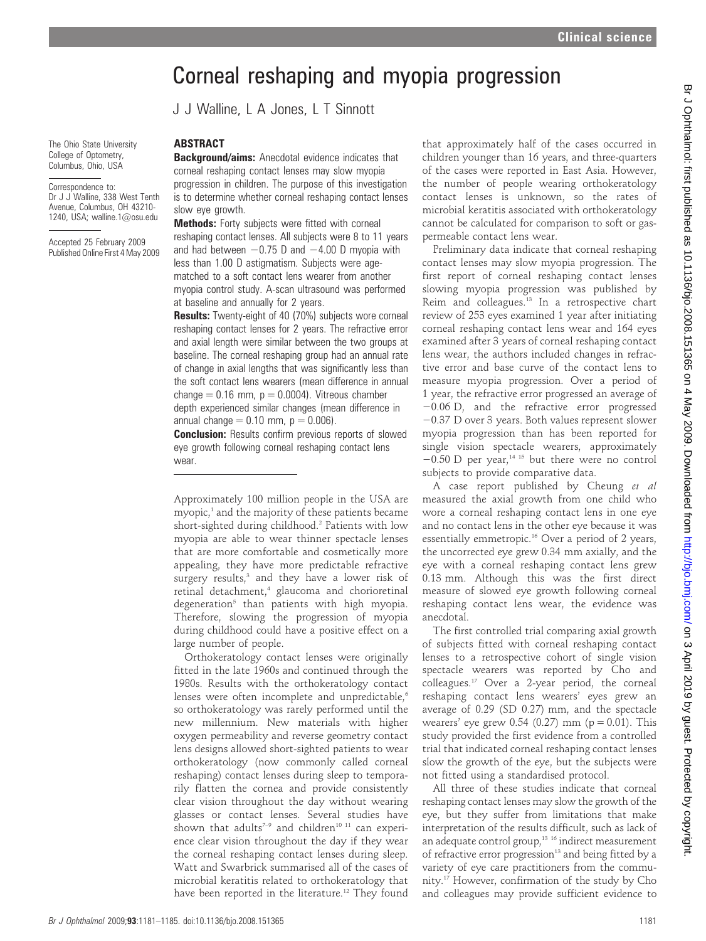# Corneal reshaping and myopia progression

J J Walline, L A Jones, L T Sinnott

**ABSTRACT** 

The Ohio State University College of Optometry, Columbus, Ohio, USA

#### Correspondence to:

Dr J J Walline, 338 West Tenth Avenue, Columbus, OH 43210- 1240, USA; walline.1@osu.edu

Accepted 25 February 2009 Published Online First 4 May 2009 **Background/aims:** Anecdotal evidence indicates that corneal reshaping contact lenses may slow myopia progression in children. The purpose of this investigation is to determine whether corneal reshaping contact lenses slow eye growth.

**Methods:** Forty subjects were fitted with corneal reshaping contact lenses. All subjects were 8 to 11 years and had between  $-0.75$  D and  $-4.00$  D myopia with less than 1.00 D astigmatism. Subjects were agematched to a soft contact lens wearer from another myopia control study. A-scan ultrasound was performed at baseline and annually for 2 years.

**Results:** Twenty-eight of 40 (70%) subjects wore corneal reshaping contact lenses for 2 years. The refractive error and axial length were similar between the two groups at baseline. The corneal reshaping group had an annual rate of change in axial lengths that was significantly less than the soft contact lens wearers (mean difference in annual change  $= 0.16$  mm,  $p = 0.0004$ ). Vitreous chamber depth experienced similar changes (mean difference in annual change  $= 0.10$  mm,  $p = 0.006$ ).

**Conclusion:** Results confirm previous reports of slowed eye growth following corneal reshaping contact lens wear.

Approximately 100 million people in the USA are myopic,<sup>1</sup> and the majority of these patients became short-sighted during childhood.<sup>2</sup> Patients with low myopia are able to wear thinner spectacle lenses that are more comfortable and cosmetically more appealing, they have more predictable refractive surgery results, $3$  and they have a lower risk of retinal detachment,<sup>4</sup> glaucoma and chorioretinal degeneration<sup>5</sup> than patients with high myopia. Therefore, slowing the progression of myopia during childhood could have a positive effect on a large number of people.

Orthokeratology contact lenses were originally fitted in the late 1960s and continued through the 1980s. Results with the orthokeratology contact lenses were often incomplete and unpredictable,<sup>6</sup> so orthokeratology was rarely performed until the new millennium. New materials with higher oxygen permeability and reverse geometry contact lens designs allowed short-sighted patients to wear orthokeratology (now commonly called corneal reshaping) contact lenses during sleep to temporarily flatten the cornea and provide consistently clear vision throughout the day without wearing glasses or contact lenses. Several studies have shown that adults<sup>7-9</sup> and children<sup>10 11</sup> can experience clear vision throughout the day if they wear the corneal reshaping contact lenses during sleep. Watt and Swarbrick summarised all of the cases of microbial keratitis related to orthokeratology that have been reported in the literature.<sup>12</sup> They found

that approximately half of the cases occurred in children younger than 16 years, and three-quarters of the cases were reported in East Asia. However, the number of people wearing orthokeratology contact lenses is unknown, so the rates of microbial keratitis associated with orthokeratology cannot be calculated for comparison to soft or gaspermeable contact lens wear.

Preliminary data indicate that corneal reshaping contact lenses may slow myopia progression. The first report of corneal reshaping contact lenses slowing myopia progression was published by Reim and colleagues.<sup>13</sup> In a retrospective chart review of 253 eyes examined 1 year after initiating corneal reshaping contact lens wear and 164 eyes examined after 3 years of corneal reshaping contact lens wear, the authors included changes in refractive error and base curve of the contact lens to measure myopia progression. Over a period of 1 year, the refractive error progressed an average of  $-0.06$  D, and the refractive error progressed -0.37 D over 3 years. Both values represent slower myopia progression than has been reported for single vision spectacle wearers, approximately  $-0.50$  D per year,<sup>14 15</sup> but there were no control subjects to provide comparative data.

A case report published by Cheung et al measured the axial growth from one child who wore a corneal reshaping contact lens in one eye and no contact lens in the other eye because it was essentially emmetropic.16 Over a period of 2 years, the uncorrected eye grew 0.34 mm axially, and the eye with a corneal reshaping contact lens grew 0.13 mm. Although this was the first direct measure of slowed eye growth following corneal reshaping contact lens wear, the evidence was anecdotal.

The first controlled trial comparing axial growth of subjects fitted with corneal reshaping contact lenses to a retrospective cohort of single vision spectacle wearers was reported by Cho and colleagues.17 Over a 2-year period, the corneal reshaping contact lens wearers' eyes grew an average of 0.29 (SD 0.27) mm, and the spectacle wearers' eye grew  $0.54$  (0.27) mm ( $p = 0.01$ ). This study provided the first evidence from a controlled trial that indicated corneal reshaping contact lenses slow the growth of the eye, but the subjects were not fitted using a standardised protocol.

All three of these studies indicate that corneal reshaping contact lenses may slow the growth of the eye, but they suffer from limitations that make interpretation of the results difficult, such as lack of an adequate control group,<sup>13</sup> <sup>16</sup> indirect measurement of refractive error progression<sup>13</sup> and being fitted by a variety of eye care practitioners from the community.17 However, confirmation of the study by Cho and colleagues may provide sufficient evidence to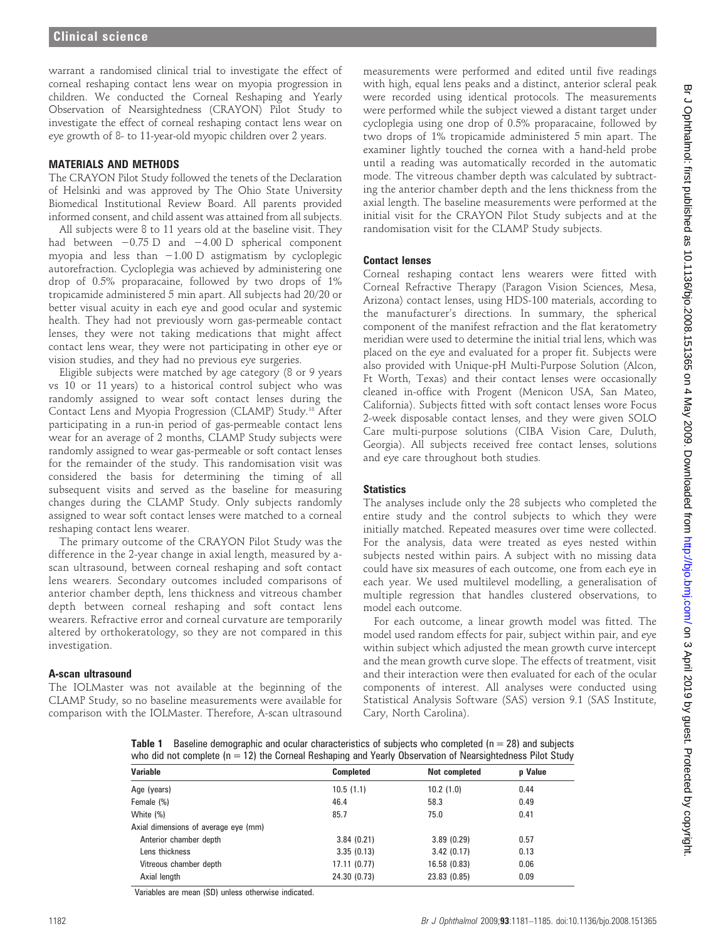warrant a randomised clinical trial to investigate the effect of corneal reshaping contact lens wear on myopia progression in children. We conducted the Corneal Reshaping and Yearly Observation of Nearsightedness (CRAYON) Pilot Study to investigate the effect of corneal reshaping contact lens wear on eye growth of 8- to 11-year-old myopic children over 2 years.

# MATERIALS AND METHODS

The CRAYON Pilot Study followed the tenets of the Declaration of Helsinki and was approved by The Ohio State University Biomedical Institutional Review Board. All parents provided informed consent, and child assent was attained from all subjects.

All subjects were 8 to 11 years old at the baseline visit. They had between  $-0.75$  D and  $-4.00$  D spherical component myopia and less than  $-1.00$  D astigmatism by cycloplegic autorefraction. Cycloplegia was achieved by administering one drop of 0.5% proparacaine, followed by two drops of 1% tropicamide administered 5 min apart. All subjects had 20/20 or better visual acuity in each eye and good ocular and systemic health. They had not previously worn gas-permeable contact lenses, they were not taking medications that might affect contact lens wear, they were not participating in other eye or vision studies, and they had no previous eye surgeries.

Eligible subjects were matched by age category (8 or 9 years vs 10 or 11 years) to a historical control subject who was randomly assigned to wear soft contact lenses during the Contact Lens and Myopia Progression (CLAMP) Study.18 After participating in a run-in period of gas-permeable contact lens wear for an average of 2 months, CLAMP Study subjects were randomly assigned to wear gas-permeable or soft contact lenses for the remainder of the study. This randomisation visit was considered the basis for determining the timing of all subsequent visits and served as the baseline for measuring changes during the CLAMP Study. Only subjects randomly assigned to wear soft contact lenses were matched to a corneal reshaping contact lens wearer.

The primary outcome of the CRAYON Pilot Study was the difference in the 2-year change in axial length, measured by ascan ultrasound, between corneal reshaping and soft contact lens wearers. Secondary outcomes included comparisons of anterior chamber depth, lens thickness and vitreous chamber depth between corneal reshaping and soft contact lens wearers. Refractive error and corneal curvature are temporarily altered by orthokeratology, so they are not compared in this investigation.

# A-scan ultrasound

The IOLMaster was not available at the beginning of the CLAMP Study, so no baseline measurements were available for comparison with the IOLMaster. Therefore, A-scan ultrasound

measurements were performed and edited until five readings with high, equal lens peaks and a distinct, anterior scleral peak were recorded using identical protocols. The measurements were performed while the subject viewed a distant target under cycloplegia using one drop of 0.5% proparacaine, followed by two drops of 1% tropicamide administered 5 min apart. The examiner lightly touched the cornea with a hand-held probe until a reading was automatically recorded in the automatic mode. The vitreous chamber depth was calculated by subtracting the anterior chamber depth and the lens thickness from the axial length. The baseline measurements were performed at the initial visit for the CRAYON Pilot Study subjects and at the randomisation visit for the CLAMP Study subjects.

# Contact lenses

Corneal reshaping contact lens wearers were fitted with Corneal Refractive Therapy (Paragon Vision Sciences, Mesa, Arizona) contact lenses, using HDS-100 materials, according to the manufacturer's directions. In summary, the spherical component of the manifest refraction and the flat keratometry meridian were used to determine the initial trial lens, which was placed on the eye and evaluated for a proper fit. Subjects were also provided with Unique-pH Multi-Purpose Solution (Alcon, Ft Worth, Texas) and their contact lenses were occasionally cleaned in-office with Progent (Menicon USA, San Mateo, California). Subjects fitted with soft contact lenses wore Focus 2-week disposable contact lenses, and they were given SOLO Care multi-purpose solutions (CIBA Vision Care, Duluth, Georgia). All subjects received free contact lenses, solutions and eye care throughout both studies.

# **Statistics**

The analyses include only the 28 subjects who completed the entire study and the control subjects to which they were initially matched. Repeated measures over time were collected. For the analysis, data were treated as eyes nested within subjects nested within pairs. A subject with no missing data could have six measures of each outcome, one from each eye in each year. We used multilevel modelling, a generalisation of multiple regression that handles clustered observations, to model each outcome.

For each outcome, a linear growth model was fitted. The model used random effects for pair, subject within pair, and eye within subject which adjusted the mean growth curve intercept and the mean growth curve slope. The effects of treatment, visit and their interaction were then evaluated for each of the ocular components of interest. All analyses were conducted using Statistical Analysis Software (SAS) version 9.1 (SAS Institute, Cary, North Carolina).

**Table 1** Baseline demographic and ocular characteristics of subjects who completed ( $n = 28$ ) and subjects who did not complete ( $n = 12$ ) the Corneal Reshaping and Yearly Observation of Nearsightedness Pilot Study

| <b>Variable</b>                      | <b>Completed</b> | Not completed | p Value |  |  |
|--------------------------------------|------------------|---------------|---------|--|--|
| Age (years)                          | 10.5(1.1)        | 10.2(1.0)     | 0.44    |  |  |
| Female (%)                           | 46.4             | 58.3          | 0.49    |  |  |
| White (%)                            | 85.7             | 75.0          | 0.41    |  |  |
| Axial dimensions of average eye (mm) |                  |               |         |  |  |
| Anterior chamber depth               | 3.84(0.21)       | 3.89(0.29)    | 0.57    |  |  |
| Lens thickness                       | 3.35(0.13)       | 3.42(0.17)    | 0.13    |  |  |
| Vitreous chamber depth               | 17.11(0.77)      | 16.58 (0.83)  | 0.06    |  |  |
| Axial length                         | 24.30 (0.73)     | 23.83 (0.85)  | 0.09    |  |  |

Variables are mean (SD) unless otherwise indicated.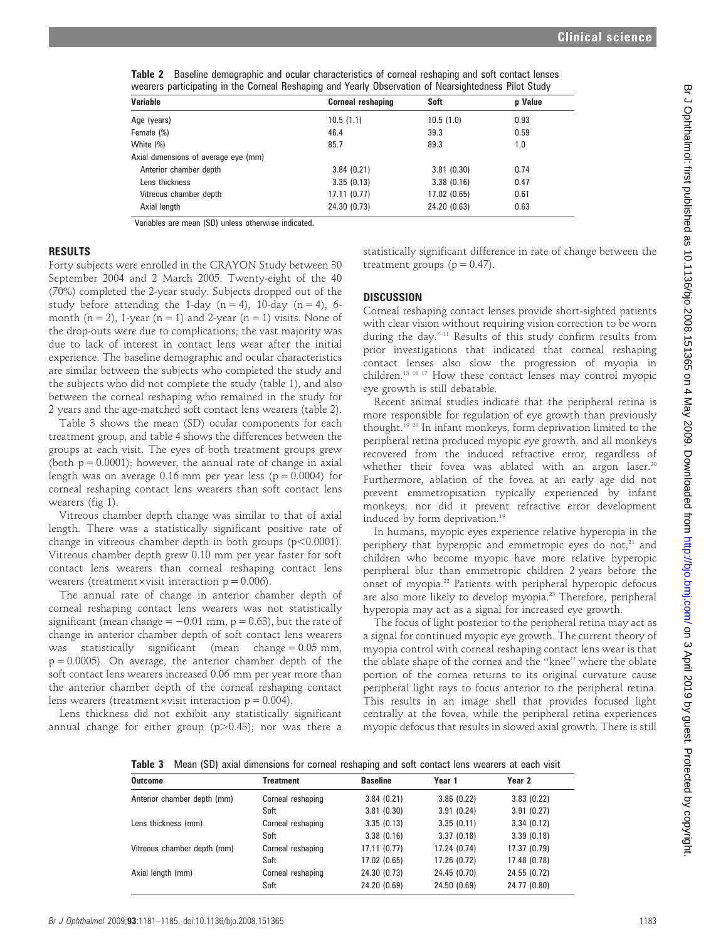| Table 2 Baseline demographic and ocular characteristics of corneal reshaping and soft contact lenses |
|------------------------------------------------------------------------------------------------------|
| wearers participating in the Corneal Reshaping and Yearly Observation of Nearsightedness Pilot Study |

| Variable                             | <b>Corneal reshaping</b> | <b>Soft</b>  | p Value |  |
|--------------------------------------|--------------------------|--------------|---------|--|
| Age (years)                          | 10.5(1.1)                | 10.5(1.0)    | 0.93    |  |
| Female (%)                           | 46.4                     | 39.3         | 0.59    |  |
| White (%)                            | 85.7                     | 89.3         | 1.0     |  |
| Axial dimensions of average eye (mm) |                          |              |         |  |
| Anterior chamber depth               | 3.84(0.21)               | 3.81(0.30)   | 0.74    |  |
| Lens thickness                       | 3.35(0.13)               | 3.38(0.16)   | 0.47    |  |
| Vitreous chamber depth               | 17.11(0.77)              | 17.02 (0.65) | 0.61    |  |
| Axial length                         | 24.30 (0.73)             | 24.20 (0.63) | 0.63    |  |

Variables are mean (SD) unless otherwise indicated.

#### RESULTS

Forty subjects were enrolled in the CRAYON Study between 30 September 2004 and 2 March 2005. Twenty-eight of the 40 (70%) completed the 2-year study. Subjects dropped out of the study before attending the 1-day  $(n = 4)$ , 10-day  $(n = 4)$ , 6month  $(n = 2)$ , 1-year  $(n = 1)$  and 2-year  $(n = 1)$  visits. None of the drop-outs were due to complications; the vast majority was due to lack of interest in contact lens wear after the initial experience. The baseline demographic and ocular characteristics are similar between the subjects who completed the study and the subjects who did not complete the study (table 1), and also between the corneal reshaping who remained in the study for 2 years and the age-matched soft contact lens wearers (table 2).

Table 3 shows the mean (SD) ocular components for each treatment group, and table 4 shows the differences between the groups at each visit. The eyes of both treatment groups grew (both  $p = 0.0001$ ); however, the annual rate of change in axial length was on average  $0.16$  mm per year less ( $p = 0.0004$ ) for corneal reshaping contact lens wearers than soft contact lens wearers (fig 1).

Vitreous chamber depth change was similar to that of axial length. There was a statistically significant positive rate of change in vitreous chamber depth in both groups  $(p<0.0001)$ . Vitreous chamber depth grew 0.10 mm per year faster for soft contact lens wearers than corneal reshaping contact lens wearers (treatment xvisit interaction  $p = 0.006$ ).

The annual rate of change in anterior chamber depth of corneal reshaping contact lens wearers was not statistically significant (mean change =  $-0.01$  mm, p = 0.63), but the rate of change in anterior chamber depth of soft contact lens wearers was statistically significant (mean change = 0.05 mm,  $p = 0.0005$ ). On average, the anterior chamber depth of the soft contact lens wearers increased 0.06 mm per year more than the anterior chamber depth of the corneal reshaping contact lens wearers (treatment  $\times$ visit interaction p = 0.004).

Lens thickness did not exhibit any statistically significant annual change for either group  $(p>0.43)$ ; nor was there a

statistically significant difference in rate of change between the treatment groups  $(p = 0.47)$ .

## **DISCUSSION**

Corneal reshaping contact lenses provide short-sighted patients with clear vision without requiring vision correction to be worn during the day.<sup>7-11</sup> Results of this study confirm results from prior investigations that indicated that corneal reshaping contact lenses also slow the progression of myopia in children.13 16 17 How these contact lenses may control myopic eye growth is still debatable.

Recent animal studies indicate that the peripheral retina is more responsible for regulation of eye growth than previously thought.19 20 In infant monkeys, form deprivation limited to the peripheral retina produced myopic eye growth, and all monkeys recovered from the induced refractive error, regardless of whether their fovea was ablated with an argon laser.<sup>20</sup> Furthermore, ablation of the fovea at an early age did not prevent emmetropisation typically experienced by infant monkeys; nor did it prevent refractive error development induced by form deprivation.<sup>19</sup>

In humans, myopic eyes experience relative hyperopia in the periphery that hyperopic and emmetropic eyes do not, $21$  and children who become myopic have more relative hyperopic peripheral blur than emmetropic children 2 years before the onset of myopia.22 Patients with peripheral hyperopic defocus are also more likely to develop myopia.<sup>23</sup> Therefore, peripheral hyperopia may act as a signal for increased eye growth.

The focus of light posterior to the peripheral retina may act as a signal for continued myopic eye growth. The current theory of myopia control with corneal reshaping contact lens wear is that the oblate shape of the cornea and the ''knee'' where the oblate portion of the cornea returns to its original curvature cause peripheral light rays to focus anterior to the peripheral retina. This results in an image shell that provides focused light centrally at the fovea, while the peripheral retina experiences myopic defocus that results in slowed axial growth. There is still

Table 3 Mean (SD) axial dimensions for corneal reshaping and soft contact lens wearers at each visit

| <b>Outcome</b>              | <b>Treatment</b>  | <b>Baseline</b> | Year 1       | Year <sub>2</sub> |
|-----------------------------|-------------------|-----------------|--------------|-------------------|
| Anterior chamber depth (mm) | Corneal reshaping | 3.84(0.21)      | 3.86(0.22)   | 3.83(0.22)        |
|                             | Soft              | 3.81(0.30)      | 3.91(0.24)   | 3.91(0.27)        |
| Lens thickness (mm)         | Corneal reshaping | 3.35(0.13)      | 3.35(0.11)   | 3.34(0.12)        |
|                             | Soft              | 3.38(0.16)      | 3.37(0.18)   | 3.39(0.18)        |
| Vitreous chamber depth (mm) | Corneal reshaping | 17.11(0.77)     | 17.24 (0.74) | 17.37 (0.79)      |
|                             | Soft              | 17.02(0.65)     | 17.26 (0.72) | 17.48 (0.78)      |
| Axial length (mm)           | Corneal reshaping | 24.30 (0.73)    | 24.45 (0.70) | 24.55 (0.72)      |
|                             | Soft              | 24.20 (0.69)    | 24.50 (0.69) | 24.77 (0.80)      |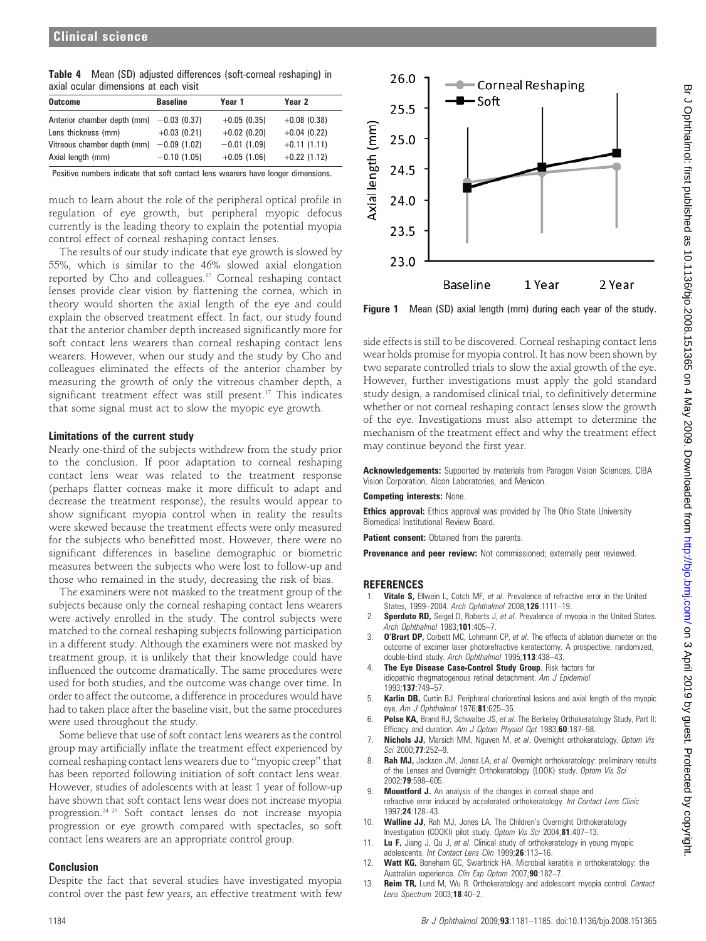Table 4 Mean (SD) adjusted differences (soft-corneal reshaping) in axial ocular dimensions at each visit

| <b>Outcome</b>                                    | <b>Baseline</b> | Year 1        | Year <sub>2</sub> |
|---------------------------------------------------|-----------------|---------------|-------------------|
| Anterior chamber depth $\text{(mm)} -0.03$ (0.37) |                 | $+0.05(0.35)$ | $+0.08$ (0.38)    |
| Lens thickness (mm)                               | $+0.03(0.21)$   | $+0.02(0.20)$ | $+0.04(0.22)$     |
| Vitreous chamber depth (mm)                       | $-0.09(1.02)$   | $-0.01(1.09)$ | $+0.11(1.11)$     |
| Axial length (mm)                                 | $-0.10(1.05)$   | $+0.05(1.06)$ | $+0.22$ (1.12)    |

Positive numbers indicate that soft contact lens wearers have longer dimensions.

much to learn about the role of the peripheral optical profile in regulation of eye growth, but peripheral myopic defocus currently is the leading theory to explain the potential myopia control effect of corneal reshaping contact lenses.

The results of our study indicate that eye growth is slowed by 55%, which is similar to the 46% slowed axial elongation reported by Cho and colleagues.17 Corneal reshaping contact lenses provide clear vision by flattening the cornea, which in theory would shorten the axial length of the eye and could explain the observed treatment effect. In fact, our study found that the anterior chamber depth increased significantly more for soft contact lens wearers than corneal reshaping contact lens wearers. However, when our study and the study by Cho and colleagues eliminated the effects of the anterior chamber by measuring the growth of only the vitreous chamber depth, a significant treatment effect was still present.<sup>17</sup> This indicates that some signal must act to slow the myopic eye growth.

#### Limitations of the current study

Nearly one-third of the subjects withdrew from the study prior to the conclusion. If poor adaptation to corneal reshaping contact lens wear was related to the treatment response (perhaps flatter corneas make it more difficult to adapt and decrease the treatment response), the results would appear to show significant myopia control when in reality the results were skewed because the treatment effects were only measured for the subjects who benefitted most. However, there were no significant differences in baseline demographic or biometric measures between the subjects who were lost to follow-up and those who remained in the study, decreasing the risk of bias.

The examiners were not masked to the treatment group of the subjects because only the corneal reshaping contact lens wearers were actively enrolled in the study. The control subjects were matched to the corneal reshaping subjects following participation in a different study. Although the examiners were not masked by treatment group, it is unlikely that their knowledge could have influenced the outcome dramatically. The same procedures were used for both studies, and the outcome was change over time. In order to affect the outcome, a difference in procedures would have had to taken place after the baseline visit, but the same procedures were used throughout the study.

Some believe that use of soft contact lens wearers as the control group may artificially inflate the treatment effect experienced by corneal reshaping contact lens wearers due to ''myopic creep'' that has been reported following initiation of soft contact lens wear. However, studies of adolescents with at least 1 year of follow-up have shown that soft contact lens wear does not increase myopia progression.24 25 Soft contact lenses do not increase myopia progression or eye growth compared with spectacles, so soft contact lens wearers are an appropriate control group.

#### Conclusion

Despite the fact that several studies have investigated myopia control over the past few years, an effective treatment with few



Figure 1 Mean (SD) axial length (mm) during each year of the study.

side effects is still to be discovered. Corneal reshaping contact lens wear holds promise for myopia control. It has now been shown by two separate controlled trials to slow the axial growth of the eye. However, further investigations must apply the gold standard study design, a randomised clinical trial, to definitively determine whether or not corneal reshaping contact lenses slow the growth of the eye. Investigations must also attempt to determine the mechanism of the treatment effect and why the treatment effect may continue beyond the first year.

Acknowledgements: Supported by materials from Paragon Vision Sciences, CIBA Vision Corporation, Alcon Laboratories, and Menicon.

Competing interests: None.

**Ethics approval:** Ethics approval was provided by The Ohio State University Biomedical Institutional Review Board.

Patient consent: Obtained from the parents.

Provenance and peer review: Not commissioned; externally peer reviewed.

#### **REFERENCES**

- Vitale S, Ellwein L, Cotch MF, et al. Prevalence of refractive error in the United States, 1999–2004. Arch Ophthalmol 2008;126:1111–19.
- 2. Sperduto RD, Seigel D, Roberts J, et al. Prevalence of myopia in the United States. Arch Ophthalmol 1983;101:405-7.
- 3. **O'Brart DP**, Corbett MC, Lohmann CP, et al. The effects of ablation diameter on the outcome of excimer laser photorefractive keratectomy. A prospective, randomized, double-blind study. Arch Ophthalmol 1995;113:438-43.
- 4. The Eye Disease Case-Control Study Group. Risk factors for idiopathic rhegmatogenous retinal detachment. Am J Epidemiol 1993;137:749–57.
- 5. Karlin DB, Curtin BJ. Peripheral chorioretinal lesions and axial length of the myopic eye. Am J Ophthalmol 1976;81:625-35.
- 6. Polse KA, Brand RJ, Schwalbe JS, et al. The Berkeley Orthokeratology Study, Part II: Efficacy and duration. Am J Optom Physiol Opt 1983;60:187-98.
- 7. Nichols JJ, Marsich MM, Nguyen M, et al. Overnight orthokeratology. Optom Vis Sci 2000;77:252-9.
- 8. Rah MJ, Jackson JM, Jones LA, et al. Overnight orthokeratology: preliminary results of the Lenses and Overnight Orthokeratology (LOOK) study. Optom Vis Sci 2002;79:598–605.
- 9. **Mountford J.** An analysis of the changes in corneal shape and refractive error induced by accelerated orthokeratology. Int Contact Lens Clinic 1997;24:128–43.
- 10. Walline JJ, Rah MJ, Jones LA. The Children's Overnight Orthokeratology Investigation (COOKI) pilot study. Optom Vis Sci 2004;81:407–13.
- 11. Lu F, Jiang J, Qu J, et al. Clinical study of orthokeratology in young myopic adolescents. Int Contact Lens Clin 1999;26:113–16.
- 12. Watt KG, Boneham GC, Swarbrick HA. Microbial keratitis in orthokeratology: the Australian experience. Clin Exp Optom 2007;90:182-7.
- 13. Reim TR, Lund M, Wu R. Orthokeratology and adolescent myopia control. Contact Lens Spectrum 2003;18:40–2.